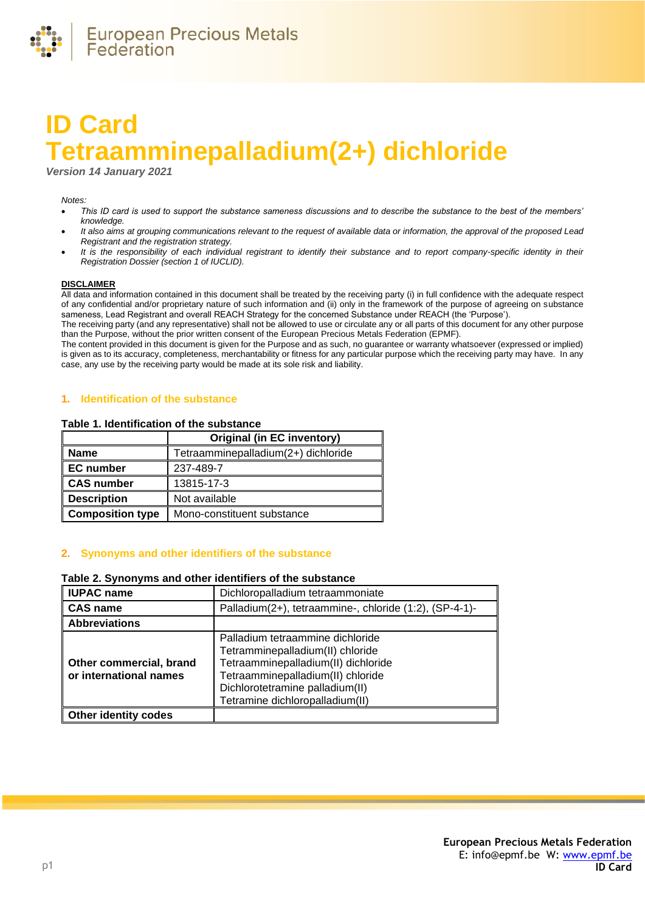

# **ID Card Tetraamminepalladium(2+) dichloride**

*Version 14 January 2021*

#### *Notes:*

- *This ID card is used to support the substance sameness discussions and to describe the substance to the best of the members' knowledge.*
- *It also aims at grouping communications relevant to the request of available data or information, the approval of the proposed Lead Registrant and the registration strategy.*
- *It is the responsibility of each individual registrant to identify their substance and to report company-specific identity in their Registration Dossier (section 1 of IUCLID).*

#### **DISCLAIMER**

All data and information contained in this document shall be treated by the receiving party (i) in full confidence with the adequate respect of any confidential and/or proprietary nature of such information and (ii) only in the framework of the purpose of agreeing on substance sameness, Lead Registrant and overall REACH Strategy for the concerned Substance under REACH (the 'Purpose').

The receiving party (and any representative) shall not be allowed to use or circulate any or all parts of this document for any other purpose than the Purpose, without the prior written consent of the European Precious Metals Federation (EPMF).

The content provided in this document is given for the Purpose and as such, no guarantee or warranty whatsoever (expressed or implied) is given as to its accuracy, completeness, merchantability or fitness for any particular purpose which the receiving party may have. In any case, any use by the receiving party would be made at its sole risk and liability.

## **1. Identification of the substance**

#### **Table 1. Identification of the substance**

|                         | <b>Original (in EC inventory)</b>   |  |
|-------------------------|-------------------------------------|--|
| <b>Name</b>             | Tetraamminepalladium(2+) dichloride |  |
| <b>EC</b> number        | 237-489-7                           |  |
| <b>CAS number</b>       | 13815-17-3                          |  |
| <b>Description</b>      | Not available                       |  |
| <b>Composition type</b> | Mono-constituent substance          |  |

## **2. Synonyms and other identifiers of the substance**

## **Table 2. Synonyms and other identifiers of the substance**

| <b>IUPAC name</b>                                 | Dichloropalladium tetraammoniate                                                                                                                                                                                       |  |
|---------------------------------------------------|------------------------------------------------------------------------------------------------------------------------------------------------------------------------------------------------------------------------|--|
| <b>CAS name</b>                                   | Palladium(2+), tetraammine-, chloride (1:2), (SP-4-1)-                                                                                                                                                                 |  |
| <b>Abbreviations</b>                              |                                                                                                                                                                                                                        |  |
| Other commercial, brand<br>or international names | Palladium tetraammine dichloride<br>Tetramminepalladium(II) chloride<br>Tetraamminepalladium(II) dichloride<br>Tetraamminepalladium(II) chloride<br>Dichlorotetramine palladium(II)<br>Tetramine dichloropalladium(II) |  |
| <b>Other identity codes</b>                       |                                                                                                                                                                                                                        |  |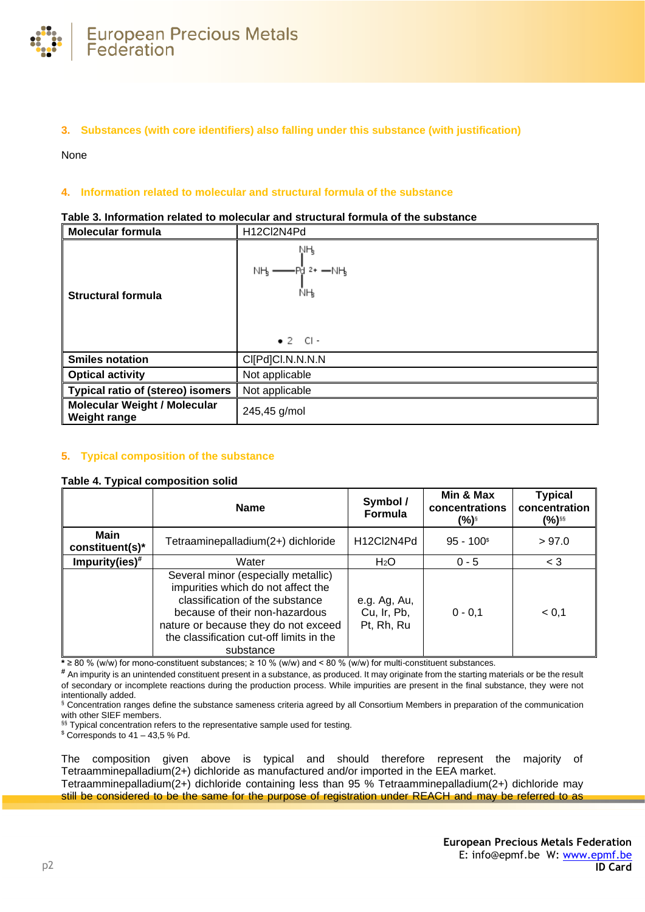

# **3. Substances (with core identifiers) also falling under this substance (with justification)**

None

# **4. Information related to molecular and structural formula of the substance**

| <b>Molecular formula</b>                                   | H12Cl2N4Pd                                                                |
|------------------------------------------------------------|---------------------------------------------------------------------------|
| <b>Structural formula</b>                                  | ŅӉ<br>$NH_3 \longrightarrow P_0^1$ 2+ $-NH_3$<br>ŇӉ<br>$\bullet$ 2 $Cl -$ |
| <b>Smiles notation</b>                                     | CI[Pd]CI.N.N.N.N                                                          |
| <b>Optical activity</b>                                    | Not applicable                                                            |
| <b>Typical ratio of (stereo) isomers</b>                   | Not applicable                                                            |
| <b>Molecular Weight / Molecular</b><br><b>Weight range</b> | 245,45 g/mol                                                              |

## **Table 3. Information related to molecular and structural formula of the substance**

# **5. Typical composition of the substance**

# <span id="page-1-0"></span>**Table 4. Typical composition solid**

|                                | <b>Name</b>                                                                                                                                                                                                                                     | Symbol /<br><b>Formula</b>                | Min & Max<br>concentrations<br>(%)§ | <b>Typical</b><br>concentration<br>(%)§§ |
|--------------------------------|-------------------------------------------------------------------------------------------------------------------------------------------------------------------------------------------------------------------------------------------------|-------------------------------------------|-------------------------------------|------------------------------------------|
| <b>Main</b><br>constituent(s)* | Tetraaminepalladium(2+) dichloride                                                                                                                                                                                                              | H12Cl2N4Pd                                | $95 - 100$ <sup>\$</sup>            | > 97.0                                   |
| Impurity(ies) $#$              | Water                                                                                                                                                                                                                                           | H <sub>2</sub> O                          | $0 - 5$                             | $<$ 3                                    |
|                                | Several minor (especially metallic)<br>impurities which do not affect the<br>classification of the substance<br>because of their non-hazardous<br>nature or because they do not exceed<br>the classification cut-off limits in the<br>substance | e.g. Ag, Au,<br>Cu, Ir, Pb,<br>Pt, Rh, Ru | $0 - 0, 1$                          | < 0.1                                    |

**\*** ≥ 80 % (w/w) for mono-constituent substances; ≥ 10 % (w/w) and < 80 % (w/w) for multi-constituent substances.

**#** An impurity is an unintended constituent present in a substance, as produced. It may originate from the starting materials or be the result of secondary or incomplete reactions during the production process. While impurities are present in the final substance, they were not intentionally added.

§ Concentration ranges define the substance sameness criteria agreed by all Consortium Members in preparation of the communication with other SIEF members.

§§ Typical concentration refers to the representative sample used for testing.

 $$$  Corresponds to 41 – 43,5 % Pd.

The composition given above is typical and should therefore represent the majority of Tetraamminepalladium(2+) dichloride as manufactured and/or imported in the EEA market. Tetraamminepalladium(2+) dichloride containing less than 95 % Tetraamminepalladium(2+) dichloride may

still be considered to be the same for the purpose of registration under REACH and may be referred to as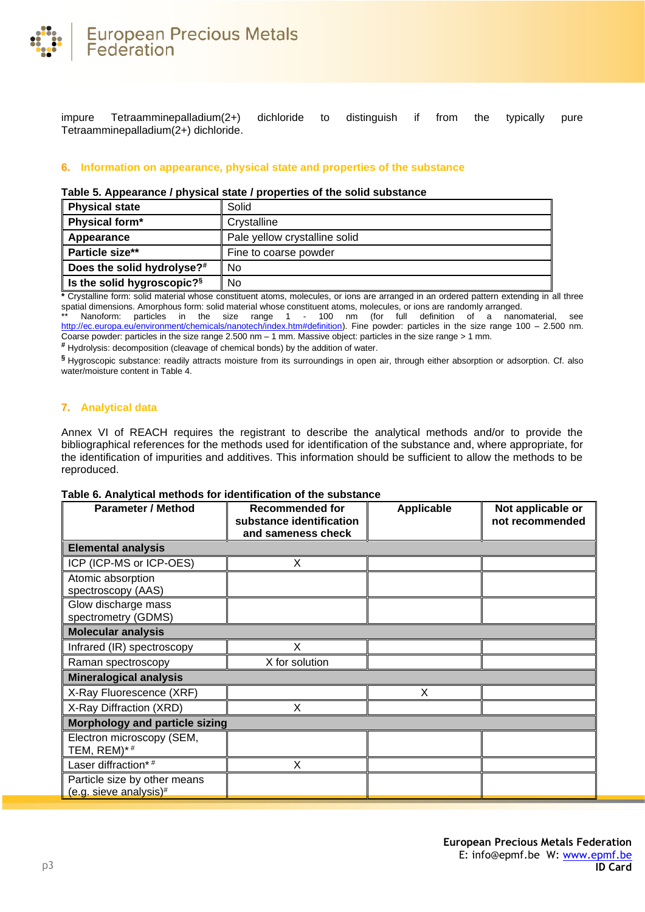

impure Tetraamminepalladium(2+) dichloride to distinguish if from the typically pure Tetraamminepalladium(2+) dichloride.

## **6. Information on appearance, physical state and properties of the substance**

## **Table 5. Appearance / physical state / properties of the solid substance**

| <b>Physical state</b>                  | Solid                         |
|----------------------------------------|-------------------------------|
| Physical form*                         | Crvstalline                   |
| Appearance                             | Pale yellow crystalline solid |
| Particle size**                        | Fine to coarse powder         |
| Does the solid hydrolyse?#             | No                            |
| Is the solid hygroscopic? <sup>§</sup> | No                            |

**\*** Crystalline form: solid material whose constituent atoms, molecules, or ions are arranged in an ordered pattern extending in all three spatial dimensions. Amorphous form: solid material whose constituent atoms, molecules, or ions are randomly arranged.

\*\* Nanoform: particles in the size range 1 - 100 nm (for full definition of a nanomaterial, see [http://ec.europa.eu/environment/chemicals/nanotech/index.htm#definition\)](http://ec.europa.eu/environment/chemicals/nanotech/index.htm#definition). Fine powder: particles in the size range 100 – 2.500 nm. Coarse powder: particles in the size range 2.500 nm – 1 mm. Massive object: particles in the size range > 1 mm.

**#** Hydrolysis: decomposition (cleavage of chemical bonds) by the addition of water.

**§** Hygroscopic substance: readily attracts moisture from its surroundings in open air, through either absorption or adsorption. Cf. also water/moisture content i[n Table 4.](#page-1-0)

## **7. Analytical data**

Annex VI of REACH requires the registrant to describe the analytical methods and/or to provide the bibliographical references for the methods used for identification of the substance and, where appropriate, for the identification of impurities and additives. This information should be sufficient to allow the methods to be reproduced.

## **Table 6. Analytical methods for identification of the substance**

| <b>Parameter / Method</b>                                          | <b>Recommended for</b><br>substance identification<br>and sameness check | <b>Applicable</b> | Not applicable or<br>not recommended |  |
|--------------------------------------------------------------------|--------------------------------------------------------------------------|-------------------|--------------------------------------|--|
| <b>Elemental analysis</b>                                          |                                                                          |                   |                                      |  |
| ICP (ICP-MS or ICP-OES)                                            | X                                                                        |                   |                                      |  |
| Atomic absorption<br>spectroscopy (AAS)                            |                                                                          |                   |                                      |  |
| Glow discharge mass<br>spectrometry (GDMS)                         |                                                                          |                   |                                      |  |
| <b>Molecular analysis</b>                                          |                                                                          |                   |                                      |  |
| Infrared (IR) spectroscopy                                         | X                                                                        |                   |                                      |  |
| Raman spectroscopy                                                 | X for solution                                                           |                   |                                      |  |
| <b>Mineralogical analysis</b>                                      |                                                                          |                   |                                      |  |
| X-Ray Fluorescence (XRF)                                           |                                                                          | X                 |                                      |  |
| X-Ray Diffraction (XRD)                                            | X                                                                        |                   |                                      |  |
| <b>Morphology and particle sizing</b>                              |                                                                          |                   |                                      |  |
| Electron microscopy (SEM,<br>TEM, REM)*#                           |                                                                          |                   |                                      |  |
| Laser diffraction*#                                                | X                                                                        |                   |                                      |  |
| Particle size by other means<br>(e.g. sieve analysis) <sup>#</sup> |                                                                          |                   |                                      |  |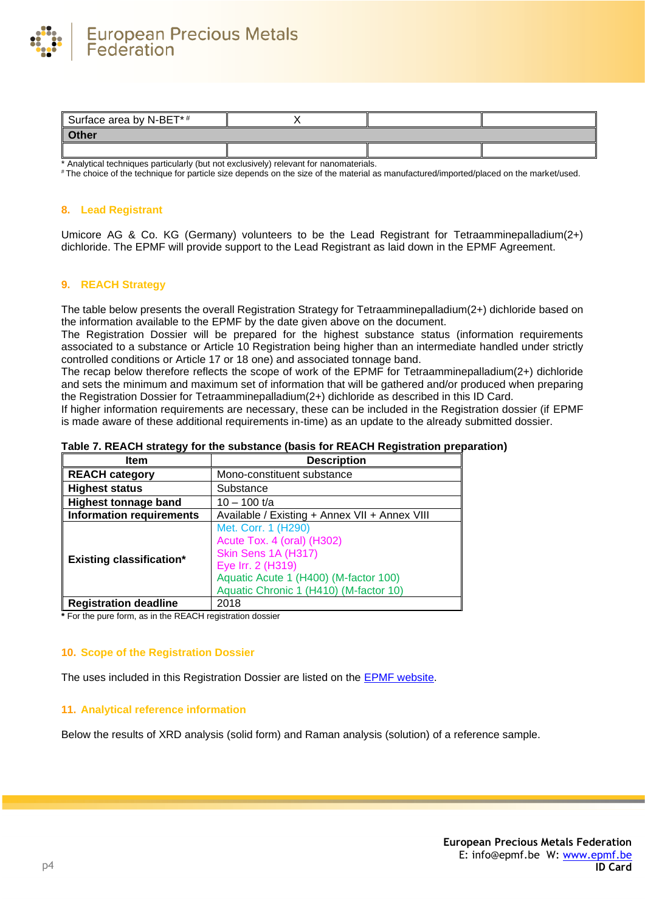

| Surface area by N-BET*# |  |  |
|-------------------------|--|--|
| Other                   |  |  |
|                         |  |  |

\* Analytical techniques particularly (but not exclusively) relevant for nanomaterials.

# The choice of the technique for particle size depends on the size of the material as manufactured/imported/placed on the market/used.

## **8. Lead Registrant**

Umicore AG & Co. KG (Germany) volunteers to be the Lead Registrant for Tetraamminepalladium(2+) dichloride. The EPMF will provide support to the Lead Registrant as laid down in the EPMF Agreement.

## **9. REACH Strategy**

The table below presents the overall Registration Strategy for Tetraamminepalladium(2+) dichloride based on the information available to the EPMF by the date given above on the document.

The Registration Dossier will be prepared for the highest substance status (information requirements associated to a substance or Article 10 Registration being higher than an intermediate handled under strictly controlled conditions or Article 17 or 18 one) and associated tonnage band.

The recap below therefore reflects the scope of work of the EPMF for Tetraamminepalladium(2+) dichloride and sets the minimum and maximum set of information that will be gathered and/or produced when preparing the Registration Dossier for Tetraamminepalladium(2+) dichloride as described in this ID Card.

If higher information requirements are necessary, these can be included in the Registration dossier (if EPMF is made aware of these additional requirements in-time) as an update to the already submitted dossier.

| <b>Item</b>                     | <b>Description</b>                                                                                                                                                               |
|---------------------------------|----------------------------------------------------------------------------------------------------------------------------------------------------------------------------------|
| <b>REACH category</b>           | Mono-constituent substance                                                                                                                                                       |
| <b>Highest status</b>           | Substance                                                                                                                                                                        |
| <b>Highest tonnage band</b>     | $10 - 100$ t/a                                                                                                                                                                   |
| <b>Information requirements</b> | Available / Existing + Annex VII + Annex VIII                                                                                                                                    |
| <b>Existing classification*</b> | Met. Corr. 1 (H290)<br>Acute Tox. 4 (oral) (H302)<br>Skin Sens 1A (H317)<br>Eye Irr. 2 (H319)<br>Aquatic Acute 1 (H400) (M-factor 100)<br>Aquatic Chronic 1 (H410) (M-factor 10) |
| <b>Registration deadline</b>    | 2018                                                                                                                                                                             |

## **Table 7. REACH strategy for the substance (basis for REACH Registration preparation)**

**\*** For the pure form, as in the REACH registration dossier

#### **10. Scope of the Registration Dossier**

The uses included in this Registration Dossier are listed on the [EPMF website.](https://www.epmf.be/)

### **11. Analytical reference information**

Below the results of XRD analysis (solid form) and Raman analysis (solution) of a reference sample.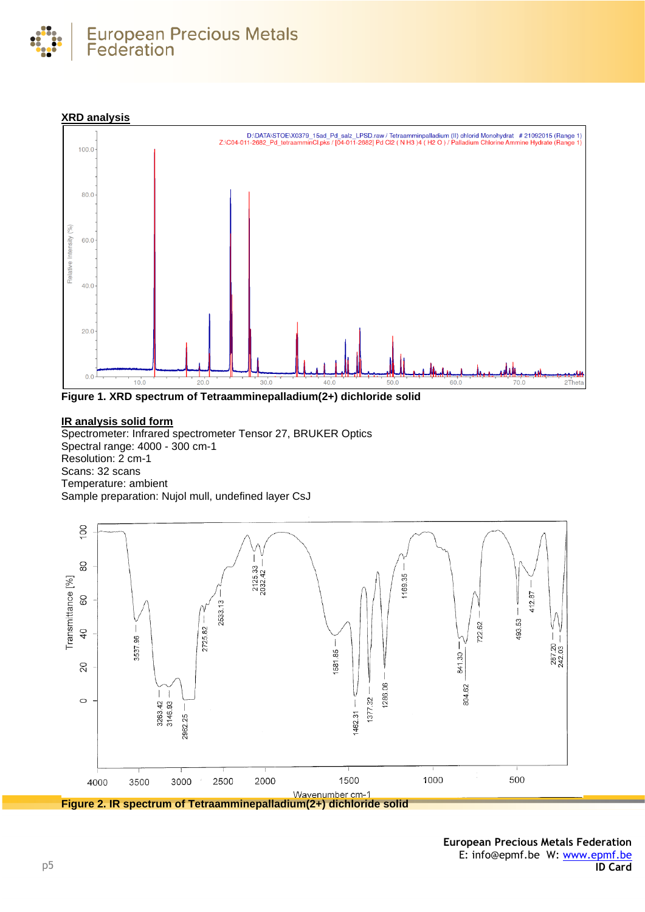





**Figure 1. XRD spectrum of Tetraamminepalladium(2+) dichloride solid**

# **IR analysis solid form**

Spectrometer: Infrared spectrometer Tensor 27, BRUKER Optics Spectral range: 4000 - 300 cm-1 Resolution: 2 cm-1 Scans: 32 scans Temperature: ambient Sample preparation: Nujol mull, undefined layer CsJ